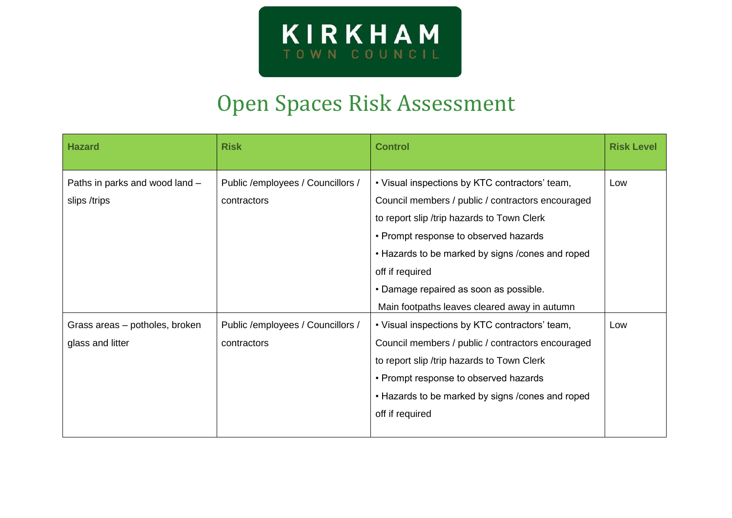

## Open Spaces Risk Assessment

| <b>Hazard</b>                                      | <b>Risk</b>                                       | <b>Control</b>                                                                                                                                                                                                                                                                                               | <b>Risk Level</b> |
|----------------------------------------------------|---------------------------------------------------|--------------------------------------------------------------------------------------------------------------------------------------------------------------------------------------------------------------------------------------------------------------------------------------------------------------|-------------------|
| Paths in parks and wood land -<br>slips /trips     | Public / employees / Councillors /<br>contractors | • Visual inspections by KTC contractors' team,<br>Council members / public / contractors encouraged<br>to report slip /trip hazards to Town Clerk<br>• Prompt response to observed hazards<br>• Hazards to be marked by signs / cones and roped<br>off if required<br>• Damage repaired as soon as possible. | Low               |
|                                                    |                                                   | Main footpaths leaves cleared away in autumn                                                                                                                                                                                                                                                                 |                   |
| Grass areas - potholes, broken<br>glass and litter | Public / employees / Councillors /<br>contractors | • Visual inspections by KTC contractors' team,<br>Council members / public / contractors encouraged<br>to report slip /trip hazards to Town Clerk<br>• Prompt response to observed hazards<br>• Hazards to be marked by signs / cones and roped<br>off if required                                           | Low               |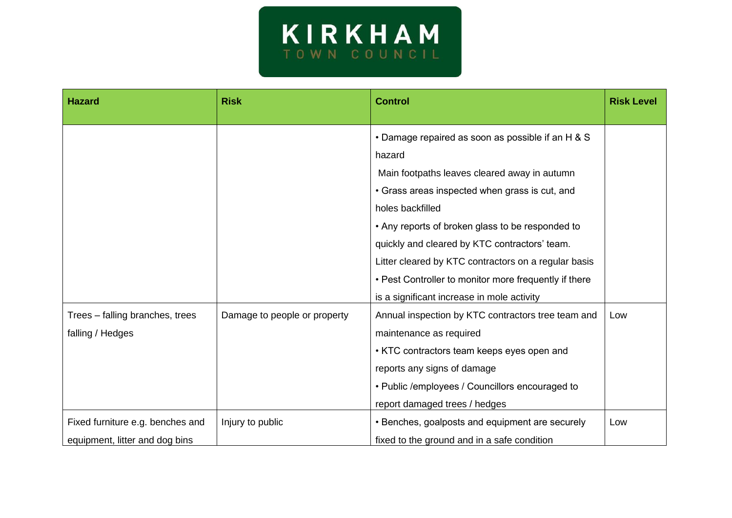

| <b>Hazard</b>                    | <b>Risk</b>                  | <b>Control</b>                                        | <b>Risk Level</b> |
|----------------------------------|------------------------------|-------------------------------------------------------|-------------------|
|                                  |                              | • Damage repaired as soon as possible if an H & S     |                   |
|                                  |                              | hazard                                                |                   |
|                                  |                              | Main footpaths leaves cleared away in autumn          |                   |
|                                  |                              | • Grass areas inspected when grass is cut, and        |                   |
|                                  |                              | holes backfilled                                      |                   |
|                                  |                              | • Any reports of broken glass to be responded to      |                   |
|                                  |                              | quickly and cleared by KTC contractors' team.         |                   |
|                                  |                              | Litter cleared by KTC contractors on a regular basis  |                   |
|                                  |                              | • Pest Controller to monitor more frequently if there |                   |
|                                  |                              | is a significant increase in mole activity            |                   |
| Trees – falling branches, trees  | Damage to people or property | Annual inspection by KTC contractors tree team and    | Low               |
| falling / Hedges                 |                              | maintenance as required                               |                   |
|                                  |                              | • KTC contractors team keeps eyes open and            |                   |
|                                  |                              | reports any signs of damage                           |                   |
|                                  |                              | • Public /employees / Councillors encouraged to       |                   |
|                                  |                              | report damaged trees / hedges                         |                   |
| Fixed furniture e.g. benches and | Injury to public             | • Benches, goalposts and equipment are securely       | Low               |
| equipment, litter and dog bins   |                              | fixed to the ground and in a safe condition           |                   |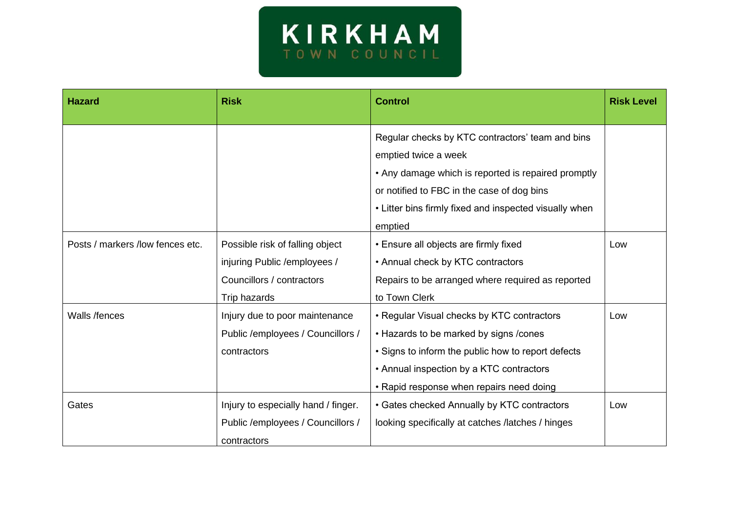

| <b>Hazard</b>                    | <b>Risk</b>                                                                                                   | <b>Control</b>                                                                                                                                                                                                                     | <b>Risk Level</b> |
|----------------------------------|---------------------------------------------------------------------------------------------------------------|------------------------------------------------------------------------------------------------------------------------------------------------------------------------------------------------------------------------------------|-------------------|
|                                  |                                                                                                               | Regular checks by KTC contractors' team and bins<br>emptied twice a week<br>• Any damage which is reported is repaired promptly                                                                                                    |                   |
|                                  |                                                                                                               | or notified to FBC in the case of dog bins<br>• Litter bins firmly fixed and inspected visually when<br>emptied                                                                                                                    |                   |
| Posts / markers /low fences etc. | Possible risk of falling object<br>injuring Public / employees /<br>Councillors / contractors<br>Trip hazards | • Ensure all objects are firmly fixed<br>• Annual check by KTC contractors<br>Repairs to be arranged where required as reported<br>to Town Clerk                                                                                   | Low               |
| Walls /fences                    | Injury due to poor maintenance<br>Public /employees / Councillors /<br>contractors                            | • Regular Visual checks by KTC contractors<br>• Hazards to be marked by signs /cones<br>• Signs to inform the public how to report defects<br>• Annual inspection by a KTC contractors<br>• Rapid response when repairs need doing | Low               |
| Gates                            | Injury to especially hand / finger.<br>Public / employees / Councillors /<br>contractors                      | • Gates checked Annually by KTC contractors<br>looking specifically at catches /latches / hinges                                                                                                                                   | Low               |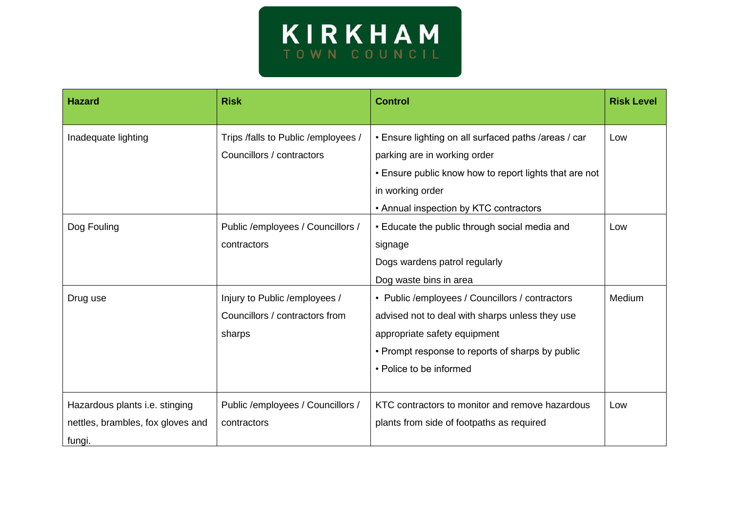

| <b>Hazard</b>                                                                 | <b>Risk</b>                                                                | <b>Control</b>                                                                                                                                                                                                    | <b>Risk Level</b> |
|-------------------------------------------------------------------------------|----------------------------------------------------------------------------|-------------------------------------------------------------------------------------------------------------------------------------------------------------------------------------------------------------------|-------------------|
| Inadequate lighting                                                           | Trips /falls to Public / employees /<br>Councillors / contractors          | • Ensure lighting on all surfaced paths /areas / car<br>parking are in working order<br>• Ensure public know how to report lights that are not<br>in working order                                                | Low               |
|                                                                               |                                                                            | • Annual inspection by KTC contractors                                                                                                                                                                            |                   |
| Dog Fouling                                                                   | Public / employees / Councillors /<br>contractors                          | • Educate the public through social media and<br>signage<br>Dogs wardens patrol regularly<br>Dog waste bins in area                                                                                               | Low               |
| Drug use                                                                      | Injury to Public / employees /<br>Councillors / contractors from<br>sharps | • Public /employees / Councillors / contractors<br>advised not to deal with sharps unless they use<br>appropriate safety equipment<br>• Prompt response to reports of sharps by public<br>• Police to be informed | Medium            |
| Hazardous plants i.e. stinging<br>nettles, brambles, fox gloves and<br>fungi. | Public /employees / Councillors /<br>contractors                           | KTC contractors to monitor and remove hazardous<br>plants from side of footpaths as required                                                                                                                      | Low               |